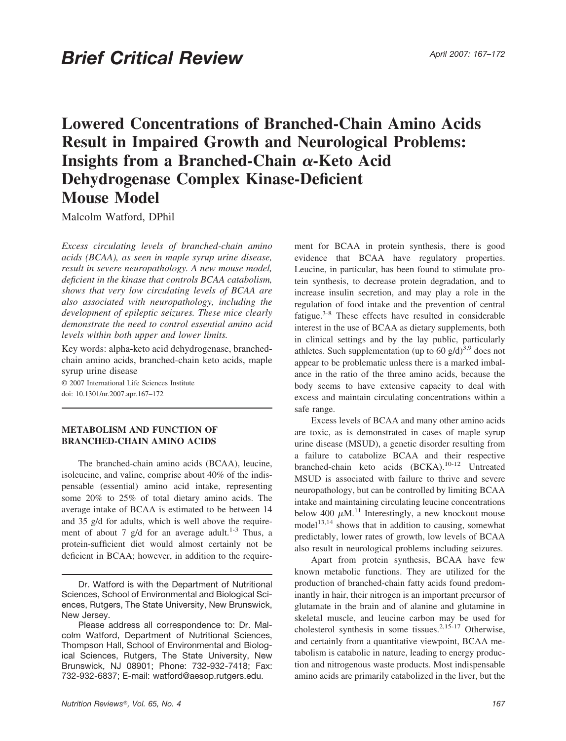# **Lowered Concentrations of Branched-Chain Amino Acids Result in Impaired Growth and Neurological Problems: Insights from a Branched-Chain**  $\alpha$ -Keto Acid **Dehydrogenase Complex Kinase-Deficient Mouse Model**

Malcolm Watford, DPhil

*Excess circulating levels of branched-chain amino acids (BCAA), as seen in maple syrup urine disease, result in severe neuropathology. A new mouse model, deficient in the kinase that controls BCAA catabolism, shows that very low circulating levels of BCAA are also associated with neuropathology, including the development of epileptic seizures. These mice clearly demonstrate the need to control essential amino acid levels within both upper and lower limits.*

Key words: alpha-keto acid dehydrogenase, branchedchain amino acids, branched-chain keto acids, maple syrup urine disease

© 2007 International Life Sciences Institute doi: 10.1301/nr.2007.apr.167–172

### **METABOLISM AND FUNCTION OF BRANCHED-CHAIN AMINO ACIDS**

The branched-chain amino acids (BCAA), leucine, isoleucine, and valine, comprise about 40% of the indispensable (essential) amino acid intake, representing some 20% to 25% of total dietary amino acids. The average intake of BCAA is estimated to be between 14 and 35 g/d for adults, which is well above the requirement of about 7 g/d for an average adult.<sup>1-3</sup> Thus, a protein-sufficient diet would almost certainly not be deficient in BCAA; however, in addition to the requirement for BCAA in protein synthesis, there is good evidence that BCAA have regulatory properties. Leucine, in particular, has been found to stimulate protein synthesis, to decrease protein degradation, and to increase insulin secretion, and may play a role in the regulation of food intake and the prevention of central fatigue.3-8 These effects have resulted in considerable interest in the use of BCAA as dietary supplements, both in clinical settings and by the lay public, particularly athletes. Such supplementation (up to 60  $g/d$ )<sup>3,9</sup> does not appear to be problematic unless there is a marked imbalance in the ratio of the three amino acids, because the body seems to have extensive capacity to deal with excess and maintain circulating concentrations within a safe range.

Excess levels of BCAA and many other amino acids are toxic, as is demonstrated in cases of maple syrup urine disease (MSUD), a genetic disorder resulting from a failure to catabolize BCAA and their respective branched-chain keto acids (BCKA).10-12 Untreated MSUD is associated with failure to thrive and severe neuropathology, but can be controlled by limiting BCAA intake and maintaining circulating leucine concentrations below 400  $\mu$ M.<sup>11</sup> Interestingly, a new knockout mouse model<sup>13,14</sup> shows that in addition to causing, somewhat predictably, lower rates of growth, low levels of BCAA also result in neurological problems including seizures.

Apart from protein synthesis, BCAA have few known metabolic functions. They are utilized for the production of branched-chain fatty acids found predominantly in hair, their nitrogen is an important precursor of glutamate in the brain and of alanine and glutamine in skeletal muscle, and leucine carbon may be used for cholesterol synthesis in some tissues.<sup>2,15-17</sup> Otherwise, and certainly from a quantitative viewpoint, BCAA metabolism is catabolic in nature, leading to energy production and nitrogenous waste products. Most indispensable amino acids are primarily catabolized in the liver, but the

Dr. Watford is with the Department of Nutritional Sciences, School of Environmental and Biological Sciences, Rutgers, The State University, New Brunswick, New Jersey.

Please address all correspondence to: Dr. Malcolm Watford, Department of Nutritional Sciences, Thompson Hall, School of Environmental and Biological Sciences, Rutgers, The State University, New Brunswick, NJ 08901; Phone: 732-932-7418; Fax: 732-932-6837; E-mail: watford@aesop.rutgers.edu.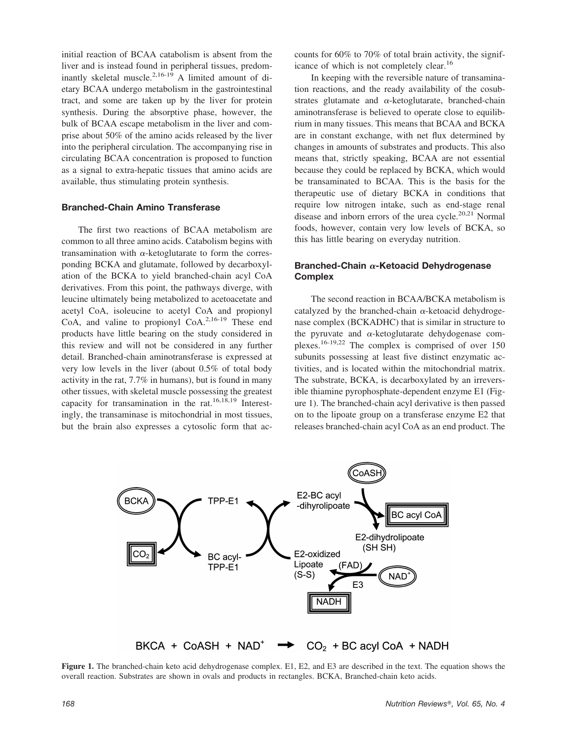initial reaction of BCAA catabolism is absent from the liver and is instead found in peripheral tissues, predominantly skeletal muscle.<sup>2,16-19</sup> A limited amount of dietary BCAA undergo metabolism in the gastrointestinal tract, and some are taken up by the liver for protein synthesis. During the absorptive phase, however, the bulk of BCAA escape metabolism in the liver and comprise about 50% of the amino acids released by the liver into the peripheral circulation. The accompanying rise in circulating BCAA concentration is proposed to function as a signal to extra-hepatic tissues that amino acids are available, thus stimulating protein synthesis.

### **Branched-Chain Amino Transferase**

The first two reactions of BCAA metabolism are common to all three amino acids. Catabolism begins with transamination with  $\alpha$ -ketoglutarate to form the corresponding BCKA and glutamate, followed by decarboxylation of the BCKA to yield branched-chain acyl CoA derivatives. From this point, the pathways diverge, with leucine ultimately being metabolized to acetoacetate and acetyl CoA, isoleucine to acetyl CoA and propionyl CoA, and valine to propionyl  $CoA<sup>2,16-19</sup>$  These end products have little bearing on the study considered in this review and will not be considered in any further detail. Branched-chain aminotransferase is expressed at very low levels in the liver (about 0.5% of total body activity in the rat, 7.7% in humans), but is found in many other tissues, with skeletal muscle possessing the greatest capacity for transamination in the rat.16,18,19 Interestingly, the transaminase is mitochondrial in most tissues, but the brain also expresses a cytosolic form that accounts for 60% to 70% of total brain activity, the significance of which is not completely clear.<sup>16</sup>

In keeping with the reversible nature of transamination reactions, and the ready availability of the cosubstrates glutamate and  $\alpha$ -ketoglutarate, branched-chain aminotransferase is believed to operate close to equilibrium in many tissues. This means that BCAA and BCKA are in constant exchange, with net flux determined by changes in amounts of substrates and products. This also means that, strictly speaking, BCAA are not essential because they could be replaced by BCKA, which would be transaminated to BCAA. This is the basis for the therapeutic use of dietary BCKA in conditions that require low nitrogen intake, such as end-stage renal disease and inborn errors of the urea cycle.<sup>20,21</sup> Normal foods, however, contain very low levels of BCKA, so this has little bearing on everyday nutrition.

## **Branched-Chain α-Ketoacid Dehydrogenase Complex**

The second reaction in BCAA/BCKA metabolism is catalyzed by the branched-chain  $\alpha$ -ketoacid dehydrogenase complex (BCKADHC) that is similar in structure to the pyruvate and  $\alpha$ -ketoglutarate dehydogenase complexes.16-19,22 The complex is comprised of over 150 subunits possessing at least five distinct enzymatic activities, and is located within the mitochondrial matrix. The substrate, BCKA, is decarboxylated by an irreversible thiamine pyrophosphate-dependent enzyme E1 (Figure 1). The branched-chain acyl derivative is then passed on to the lipoate group on a transferase enzyme E2 that releases branched-chain acyl CoA as an end product. The



**Figure 1.** The branched-chain keto acid dehydrogenase complex. E1, E2, and E3 are described in the text. The equation shows the overall reaction. Substrates are shown in ovals and products in rectangles. BCKA, Branched-chain keto acids.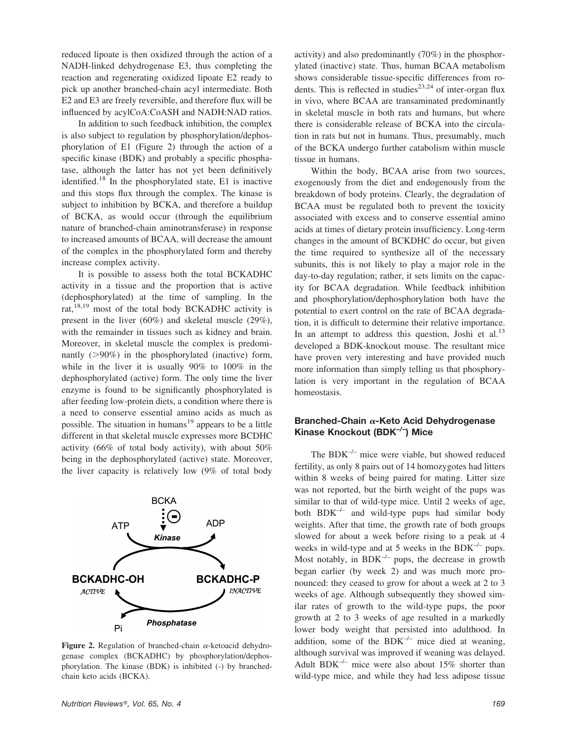reduced lipoate is then oxidized through the action of a NADH-linked dehydrogenase E3, thus completing the reaction and regenerating oxidized lipoate E2 ready to pick up another branched-chain acyl intermediate. Both E2 and E3 are freely reversible, and therefore flux will be influenced by acylCoA:CoASH and NADH:NAD ratios.

In addition to such feedback inhibition, the complex is also subject to regulation by phosphorylation/dephosphorylation of E1 (Figure 2) through the action of a specific kinase (BDK) and probably a specific phosphatase, although the latter has not yet been definitively identified.18 In the phosphorylated state, E1 is inactive and this stops flux through the complex. The kinase is subject to inhibition by BCKA, and therefore a buildup of BCKA, as would occur (through the equilibrium nature of branched-chain aminotransferase) in response to increased amounts of BCAA, will decrease the amount of the complex in the phosphorylated form and thereby increase complex activity.

It is possible to assess both the total BCKADHC activity in a tissue and the proportion that is active (dephosphorylated) at the time of sampling. In the rat,<sup>18,19</sup> most of the total body BCKADHC activity is present in the liver (60%) and skeletal muscle (29%), with the remainder in tissues such as kidney and brain. Moreover, in skeletal muscle the complex is predominantly  $(>90\%)$  in the phosphorylated (inactive) form, while in the liver it is usually 90% to 100% in the dephosphorylated (active) form. The only time the liver enzyme is found to be significantly phosphorylated is after feeding low-protein diets, a condition where there is a need to conserve essential amino acids as much as possible. The situation in humans<sup>19</sup> appears to be a little different in that skeletal muscle expresses more BCDHC activity (66% of total body activity), with about 50% being in the dephosphorylated (active) state. Moreover, the liver capacity is relatively low (9% of total body



Figure 2. Regulation of branched-chain  $\alpha$ -ketoacid dehydrogenase complex (BCKADHC) by phosphorylation/dephosphorylation. The kinase (BDK) is inhibited (-) by branchedchain keto acids (BCKA).

activity) and also predominantly (70%) in the phosphorylated (inactive) state. Thus, human BCAA metabolism shows considerable tissue-specific differences from rodents. This is reflected in studies<sup>23,24</sup> of inter-organ flux in vivo, where BCAA are transaminated predominantly in skeletal muscle in both rats and humans, but where there is considerable release of BCKA into the circulation in rats but not in humans. Thus, presumably, much of the BCKA undergo further catabolism within muscle tissue in humans.

Within the body, BCAA arise from two sources, exogenously from the diet and endogenously from the breakdown of body proteins. Clearly, the degradation of BCAA must be regulated both to prevent the toxicity associated with excess and to conserve essential amino acids at times of dietary protein insufficiency. Long-term changes in the amount of BCKDHC do occur, but given the time required to synthesize all of the necessary subunits, this is not likely to play a major role in the day-to-day regulation; rather, it sets limits on the capacity for BCAA degradation. While feedback inhibition and phosphorylation/dephosphorylation both have the potential to exert control on the rate of BCAA degradation, it is difficult to determine their relative importance. In an attempt to address this question, Joshi et al.<sup>13</sup> developed a BDK-knockout mouse. The resultant mice have proven very interesting and have provided much more information than simply telling us that phosphorylation is very important in the regulation of BCAA homeostasis.

### **Branched-Chain α-Keto Acid Dehydrogenase Kinase Knockout (BDK–/–) Mice**

The  $BDK^{-/-}$  mice were viable, but showed reduced fertility, as only 8 pairs out of 14 homozygotes had litters within 8 weeks of being paired for mating. Litter size was not reported, but the birth weight of the pups was similar to that of wild-type mice. Until 2 weeks of age, both  $BDK^{-/-}$  and wild-type pups had similar body weights. After that time, the growth rate of both groups slowed for about a week before rising to a peak at 4 weeks in wild-type and at 5 weeks in the BDK $^{-/-}$  pups. Most notably, in  $BDK^{-/-}$  pups, the decrease in growth began earlier (by week 2) and was much more pronounced: they ceased to grow for about a week at 2 to 3 weeks of age. Although subsequently they showed similar rates of growth to the wild-type pups, the poor growth at 2 to 3 weeks of age resulted in a markedly lower body weight that persisted into adulthood. In addition, some of the  $BDK^{-/-}$  mice died at weaning, although survival was improved if weaning was delayed. Adult BDK<sup>-/-</sup> mice were also about 15% shorter than wild-type mice, and while they had less adipose tissue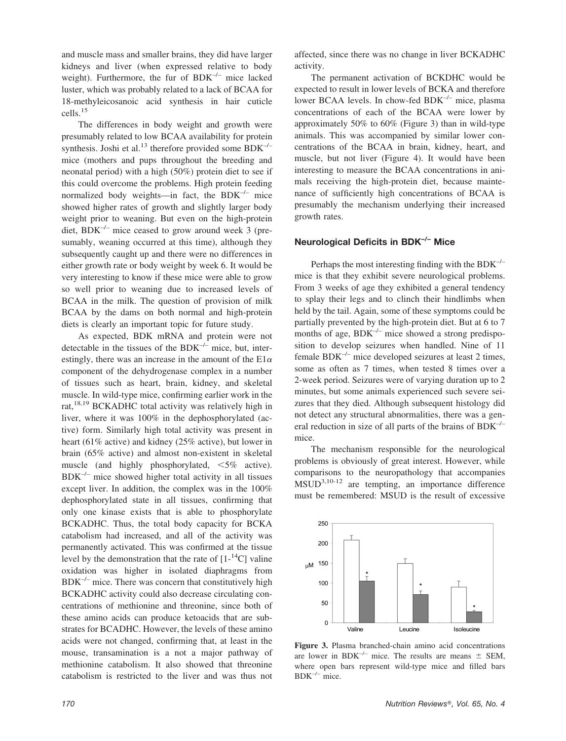and muscle mass and smaller brains, they did have larger kidneys and liver (when expressed relative to body weight). Furthermore, the fur of BDK<sup>-/-</sup> mice lacked luster, which was probably related to a lack of BCAA for 18-methyleicosanoic acid synthesis in hair cuticle cells.15

The differences in body weight and growth were presumably related to low BCAA availability for protein synthesis. Joshi et al.<sup>13</sup> therefore provided some  $BDK^{-/-}$ mice (mothers and pups throughout the breeding and neonatal period) with a high (50%) protein diet to see if this could overcome the problems. High protein feeding normalized body weights—in fact, the  $BDK^{-/-}$  mice showed higher rates of growth and slightly larger body weight prior to weaning. But even on the high-protein diet,  $BDK^{-/-}$  mice ceased to grow around week 3 (presumably, weaning occurred at this time), although they subsequently caught up and there were no differences in either growth rate or body weight by week 6. It would be very interesting to know if these mice were able to grow so well prior to weaning due to increased levels of BCAA in the milk. The question of provision of milk BCAA by the dams on both normal and high-protein diets is clearly an important topic for future study.

As expected, BDK mRNA and protein were not detectable in the tissues of the BDK $^{-/-}$  mice, but, interestingly, there was an increase in the amount of the  $E1\alpha$ component of the dehydrogenase complex in a number of tissues such as heart, brain, kidney, and skeletal muscle. In wild-type mice, confirming earlier work in the rat,<sup>18,19</sup> BCKADHC total activity was relatively high in liver, where it was 100% in the dephosphorylated (active) form. Similarly high total activity was present in heart (61% active) and kidney (25% active), but lower in brain (65% active) and almost non-existent in skeletal muscle (and highly phosphorylated,  $\leq 5\%$  active).  $BDK^{-/-}$  mice showed higher total activity in all tissues except liver. In addition, the complex was in the 100% dephosphorylated state in all tissues, confirming that only one kinase exists that is able to phosphorylate BCKADHC. Thus, the total body capacity for BCKA catabolism had increased, and all of the activity was permanently activated. This was confirmed at the tissue level by the demonstration that the rate of  $[1^{-14}C]$  valine oxidation was higher in isolated diaphragms from  $BDK^{-/-}$  mice. There was concern that constitutively high BCKADHC activity could also decrease circulating concentrations of methionine and threonine, since both of these amino acids can produce ketoacids that are substrates for BCADHC. However, the levels of these amino acids were not changed, confirming that, at least in the mouse, transamination is a not a major pathway of methionine catabolism. It also showed that threonine catabolism is restricted to the liver and was thus not

affected, since there was no change in liver BCKADHC activity.

The permanent activation of BCKDHC would be expected to result in lower levels of BCKA and therefore lower BCAA levels. In chow-fed BDK–/– mice, plasma concentrations of each of the BCAA were lower by approximately 50% to 60% (Figure 3) than in wild-type animals. This was accompanied by similar lower concentrations of the BCAA in brain, kidney, heart, and muscle, but not liver (Figure 4). It would have been interesting to measure the BCAA concentrations in animals receiving the high-protein diet, because maintenance of sufficiently high concentrations of BCAA is presumably the mechanism underlying their increased growth rates.

## **Neurological Deficits in BDK–/– Mice**

Perhaps the most interesting finding with the  $BDK^{-/-}$ mice is that they exhibit severe neurological problems. From 3 weeks of age they exhibited a general tendency to splay their legs and to clinch their hindlimbs when held by the tail. Again, some of these symptoms could be partially prevented by the high-protein diet. But at 6 to 7 months of age,  $BDK^{-/-}$  mice showed a strong predisposition to develop seizures when handled. Nine of 11 female  $BDK^{-/-}$  mice developed seizures at least 2 times, some as often as 7 times, when tested 8 times over a 2-week period. Seizures were of varying duration up to 2 minutes, but some animals experienced such severe seizures that they died. Although subsequent histology did not detect any structural abnormalities, there was a general reduction in size of all parts of the brains of  $BDK^{-/-}$ mice.

The mechanism responsible for the neurological problems is obviously of great interest. However, while comparisons to the neuropathology that accompanies  $MSUD^{3,10-12}$  are tempting, an importance difference must be remembered: MSUD is the result of excessive



**Figure 3.** Plasma branched-chain amino acid concentrations are lower in BDK<sup>-/-</sup> mice. The results are means  $\pm$  SEM, where open bars represent wild-type mice and filled bars  $BDK^{-/-}$  mice.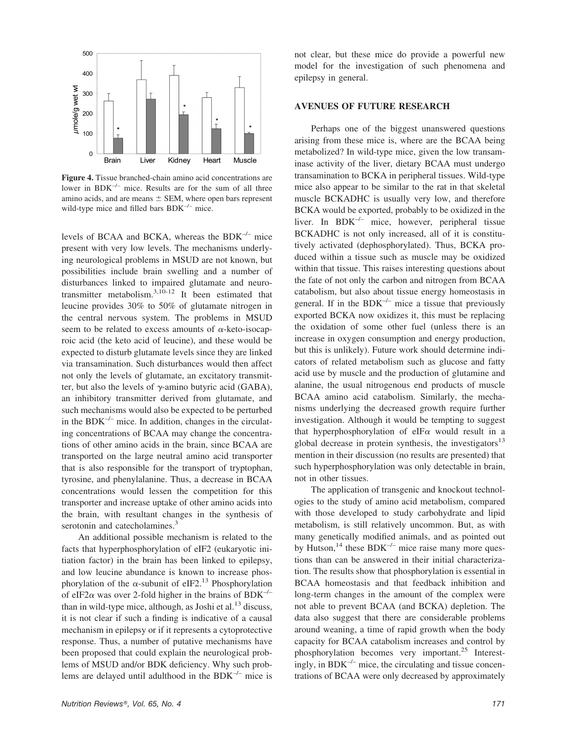

**Figure 4.** Tissue branched-chain amino acid concentrations are lower in  $BDK^{-/-}$  mice. Results are for the sum of all three amino acids, and are means  $\pm$  SEM, where open bars represent wild-type mice and filled bars BDK<sup>-/-</sup> mice.

levels of BCAA and BCKA, whereas the BDK–/– mice present with very low levels. The mechanisms underlying neurological problems in MSUD are not known, but possibilities include brain swelling and a number of disturbances linked to impaired glutamate and neurotransmitter metabolism. $3,10-12$  It been estimated that leucine provides 30% to 50% of glutamate nitrogen in the central nervous system. The problems in MSUD seem to be related to excess amounts of  $\alpha$ -keto-isocaproic acid (the keto acid of leucine), and these would be expected to disturb glutamate levels since they are linked via transamination. Such disturbances would then affect not only the levels of glutamate, an excitatory transmitter, but also the levels of  $\gamma$ -amino butyric acid (GABA), an inhibitory transmitter derived from glutamate, and such mechanisms would also be expected to be perturbed in the  $BDK^{-/-}$  mice. In addition, changes in the circulating concentrations of BCAA may change the concentrations of other amino acids in the brain, since BCAA are transported on the large neutral amino acid transporter that is also responsible for the transport of tryptophan, tyrosine, and phenylalanine. Thus, a decrease in BCAA concentrations would lessen the competition for this transporter and increase uptake of other amino acids into the brain, with resultant changes in the synthesis of serotonin and catecholamines.<sup>3</sup>

An additional possible mechanism is related to the facts that hyperphosphorylation of eIF2 (eukaryotic initiation factor) in the brain has been linked to epilepsy, and low leucine abundance is known to increase phosphorylation of the  $\alpha$ -subunit of eIF2.<sup>13</sup> Phosphorylation of eIF2 $\alpha$  was over 2-fold higher in the brains of BDK<sup>-/-</sup> than in wild-type mice, although, as Joshi et al. $^{13}$  discuss, it is not clear if such a finding is indicative of a causal mechanism in epilepsy or if it represents a cytoprotective response. Thus, a number of putative mechanisms have been proposed that could explain the neurological problems of MSUD and/or BDK deficiency. Why such problems are delayed until adulthood in the  $BDK^{-/-}$  mice is not clear, but these mice do provide a powerful new model for the investigation of such phenomena and epilepsy in general.

## **AVENUES OF FUTURE RESEARCH**

Perhaps one of the biggest unanswered questions arising from these mice is, where are the BCAA being metabolized? In wild-type mice, given the low transaminase activity of the liver, dietary BCAA must undergo transamination to BCKA in peripheral tissues. Wild-type mice also appear to be similar to the rat in that skeletal muscle BCKADHC is usually very low, and therefore BCKA would be exported, probably to be oxidized in the liver. In  $BDK^{-/-}$  mice, however, peripheral tissue BCKADHC is not only increased, all of it is constitutively activated (dephosphorylated). Thus, BCKA produced within a tissue such as muscle may be oxidized within that tissue. This raises interesting questions about the fate of not only the carbon and nitrogen from BCAA catabolism, but also about tissue energy homeostasis in general. If in the  $BDK^{-/-}$  mice a tissue that previously exported BCKA now oxidizes it, this must be replacing the oxidation of some other fuel (unless there is an increase in oxygen consumption and energy production, but this is unlikely). Future work should determine indicators of related metabolism such as glucose and fatty acid use by muscle and the production of glutamine and alanine, the usual nitrogenous end products of muscle BCAA amino acid catabolism. Similarly, the mechanisms underlying the decreased growth require further investigation. Although it would be tempting to suggest that hyperphosphorylation of eIF $\alpha$  would result in a global decrease in protein synthesis, the investigators $13$ mention in their discussion (no results are presented) that such hyperphosphorylation was only detectable in brain, not in other tissues.

The application of transgenic and knockout technologies to the study of amino acid metabolism, compared with those developed to study carbohydrate and lipid metabolism, is still relatively uncommon. But, as with many genetically modified animals, and as pointed out by Hutson,  $14$  these BDK<sup>-/–</sup> mice raise many more questions than can be answered in their initial characterization. The results show that phosphorylation is essential in BCAA homeostasis and that feedback inhibition and long-term changes in the amount of the complex were not able to prevent BCAA (and BCKA) depletion. The data also suggest that there are considerable problems around weaning, a time of rapid growth when the body capacity for BCAA catabolism increases and control by phosphorylation becomes very important.<sup>25</sup> Interestingly, in  $BDK^{-/-}$  mice, the circulating and tissue concentrations of BCAA were only decreased by approximately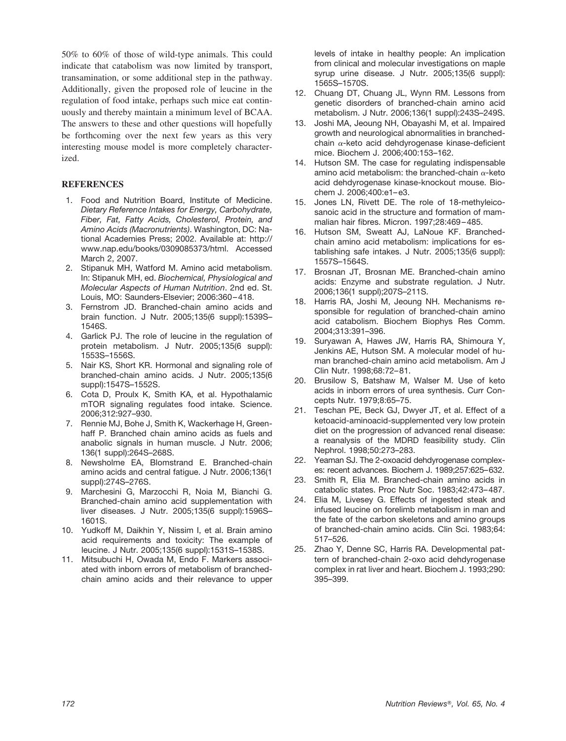50% to 60% of those of wild-type animals. This could indicate that catabolism was now limited by transport, transamination, or some additional step in the pathway. Additionally, given the proposed role of leucine in the regulation of food intake, perhaps such mice eat continuously and thereby maintain a minimum level of BCAA. The answers to these and other questions will hopefully be forthcoming over the next few years as this very interesting mouse model is more completely characterized.

#### **REFERENCES**

- 1. Food and Nutrition Board, Institute of Medicine. *Dietary Reference Intakes for Energy, Carbohydrate, Fiber, Fat, Fatty Acids, Cholesterol, Protein, and Amino Acids (Macronutrients)*. Washington, DC: National Academies Press; 2002. Available at: http:// www.nap.edu/books/0309085373/html. Accessed March 2, 2007.
- 2. Stipanuk MH, Watford M. Amino acid metabolism. In: Stipanuk MH, ed. *Biochemical, Physiological and Molecular Aspects of Human Nutrition*. 2nd ed. St. Louis, MO: Saunders-Elsevier; 2006:360–418.
- 3. Fernstrom JD. Branched-chain amino acids and brain function. J Nutr. 2005;135(6 suppl):1539S– 1546S.
- 4. Garlick PJ. The role of leucine in the regulation of protein metabolism. J Nutr. 2005;135(6 suppl): 1553S–1556S.
- 5. Nair KS, Short KR. Hormonal and signaling role of branched-chain amino acids. J Nutr. 2005;135(6 suppl):1547S–1552S.
- 6. Cota D, Proulx K, Smith KA, et al. Hypothalamic mTOR signaling regulates food intake. Science. 2006;312:927–930.
- 7. Rennie MJ, Bohe J, Smith K, Wackerhage H, Greenhaff P. Branched chain amino acids as fuels and anabolic signals in human muscle. J Nutr. 2006; 136(1 suppl):264S–268S.
- 8. Newsholme EA, Blomstrand E. Branched-chain amino acids and central fatigue. J Nutr. 2006;136(1 suppl):274S–276S.
- 9. Marchesini G, Marzocchi R, Noia M, Bianchi G. Branched-chain amino acid supplementation with liver diseases. J Nutr. 2005;135(6 suppl):1596S– 1601S.
- 10. Yudkoff M, Daikhin Y, Nissim I, et al. Brain amino acid requirements and toxicity: The example of leucine. J Nutr. 2005;135(6 suppl):1531S–1538S.
- 11. Mitsubuchi H, Owada M, Endo F. Markers associated with inborn errors of metabolism of branchedchain amino acids and their relevance to upper

levels of intake in healthy people: An implication from clinical and molecular investigations on maple syrup urine disease. J Nutr. 2005;135(6 suppl): 1565S–1570S.

- 12. Chuang DT, Chuang JL, Wynn RM. Lessons from genetic disorders of branched-chain amino acid metabolism. J Nutr. 2006;136(1 suppl):243S–249S.
- 13. Joshi MA, Jeoung NH, Obayashi M, et al. Impaired growth and neurological abnormalities in branchedchain  $\alpha$ -keto acid dehdyrogenase kinase-deficient mice. Biochem J. 2006;400:153–162.
- 14. Hutson SM. The case for regulating indispensable amino acid metabolism: the branched-chain  $\alpha$ -keto acid dehdyrogenase kinase-knockout mouse. Biochem J. 2006;400:e1–e3.
- 15. Jones LN, Rivett DE. The role of 18-methyleicosanoic acid in the structure and formation of mammalian hair fibres. Micron. 1997;28:469–485.
- 16. Hutson SM, Sweatt AJ, LaNoue KF. Branchedchain amino acid metabolism: implications for establishing safe intakes. J Nutr. 2005;135(6 suppl): 1557S–1564S.
- 17. Brosnan JT, Brosnan ME. Branched-chain amino acids: Enzyme and substrate regulation. J Nutr. 2006;136(1 suppl);207S–211S.
- 18. Harris RA, Joshi M, Jeoung NH. Mechanisms responsible for regulation of branched-chain amino acid catabolism. Biochem Biophys Res Comm. 2004;313:391–396.
- 19. Suryawan A, Hawes JW, Harris RA, Shimoura Y, Jenkins AE, Hutson SM. A molecular model of human branched-chain amino acid metabolism. Am J Clin Nutr. 1998;68:72–81.
- 20. Brusilow S, Batshaw M, Walser M. Use of keto acids in inborn errors of urea synthesis. Curr Concepts Nutr. 1979;8:65–75.
- 21. Teschan PE, Beck GJ, Dwyer JT, et al. Effect of a ketoacid-aminoacid-supplemented very low protein diet on the progression of advanced renal disease: a reanalysis of the MDRD feasibility study. Clin Nephrol. 1998;50:273–283.
- 22. Yeaman SJ. The 2-oxoacid dehdyrogenase complexes: recent advances. Biochem J. 1989;257:625–632.
- 23. Smith R, Elia M. Branched-chain amino acids in catabolic states. Proc Nutr Soc. 1983;42:473–487.
- 24. Elia M, Livesey G. Effects of ingested steak and infused leucine on forelimb metabolism in man and the fate of the carbon skeletons and amino groups of branched-chain amino acids. Clin Sci. 1983;64: 517–526.
- 25. Zhao Y, Denne SC, Harris RA. Developmental pattern of branched-chain 2-oxo acid dehdyrogenase complex in rat liver and heart. Biochem J. 1993;290: 395–399.